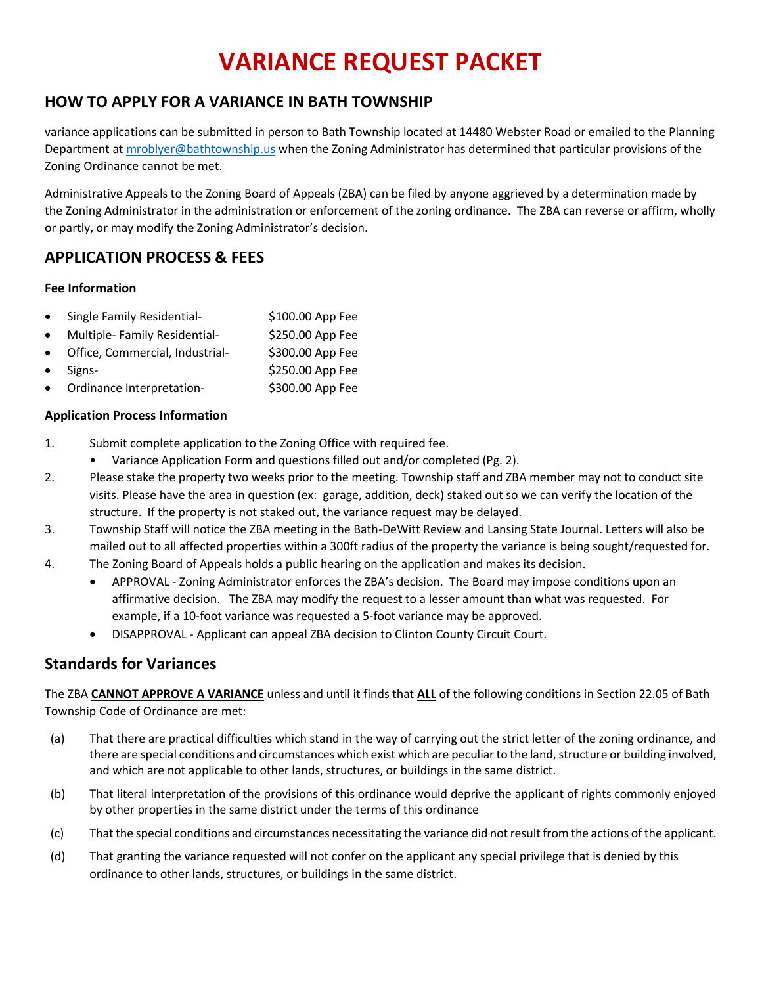# **VARIANCE REQUEST PACKET**

## **HOW TO APPLY FOR A VARIANCE IN BATH TOWNSHIP**

variance applications can be submitted in person to Bath Township located at 14480 Webster Road or emailed to the Planning Department a[t mroblyer@bathtownship.us](mailto:mroblyer@bathtownship.us) when the Zoning Administrator has determined that particular provisions of the Zoning Ordinance cannot be met.

Administrative Appeals to the Zoning Board of Appeals (ZBA) can be filed by anyone aggrieved by a determination made by the Zoning Administrator in the administration or enforcement of the zoning ordinance. The ZBA can reverse or affirm, wholly or partly, or may modify the Zoning Administrator's decision.

### **APPLICATION PROCESS & FEES**

#### **Fee Information**

- Single Family Residential- \$100.00 App Fee
- Multiple- Family Residential-<br>
S250.00 App Fee
- Office, Commercial, Industrial- \$300.00 App Fee
- Signs- \$250.00 App Fee
- Ordinance Interpretation-<br>
\$300.00 App Fee

#### **Application Process Information**

- 1. Submit complete application to the Zoning Office with required fee.
	- Variance Application Form and questions filled out and/or completed (Pg. 2).
- 2. Please stake the property two weeks prior to the meeting. Township staff and ZBA member may not to conduct site visits. Please have the area in question (ex: garage, addition, deck) staked out so we can verify the location of the structure. If the property is not staked out, the variance request may be delayed.
- 3. Township Staff will notice the ZBA meeting in the Bath-DeWitt Review and Lansing State Journal. Letters will also be mailed out to all affected properties within a 300ft radius of the property the variance is being sought/requested for.
- 4. The Zoning Board of Appeals holds a public hearing on the application and makes its decision.
	- APPROVAL Zoning Administrator enforces the ZBA's decision. The Board may impose conditions upon an affirmative decision. The ZBA may modify the request to a lesser amount than what was requested. For example, if a 10-foot variance was requested a 5-foot variance may be approved.
	- DISAPPROVAL Applicant can appeal ZBA decision to Clinton County Circuit Court.

### **Standards for Variances**

The ZBA **CANNOT APPROVE A VARIANCE** unless and until it finds that **ALL** of the following conditions in Section 22.05 of Bath Township Code of Ordinance are met:

- (a) That there are practical difficulties which stand in the way of carrying out the strict letter of the zoning ordinance, and there are special conditions and circumstances which exist which are peculiar to the land, structure or building involved, and which are not applicable to other lands, structures, or buildings in the same district.
- (b) That literal interpretation of the provisions of this ordinance would deprive the applicant of rights commonly enjoyed by other properties in the same district under the terms of this ordinance
- (c) That the special conditions and circumstances necessitating the variance did not result from the actions of the applicant.
- (d) That granting the variance requested will not confer on the applicant any special privilege that is denied by this ordinance to other lands, structures, or buildings in the same district.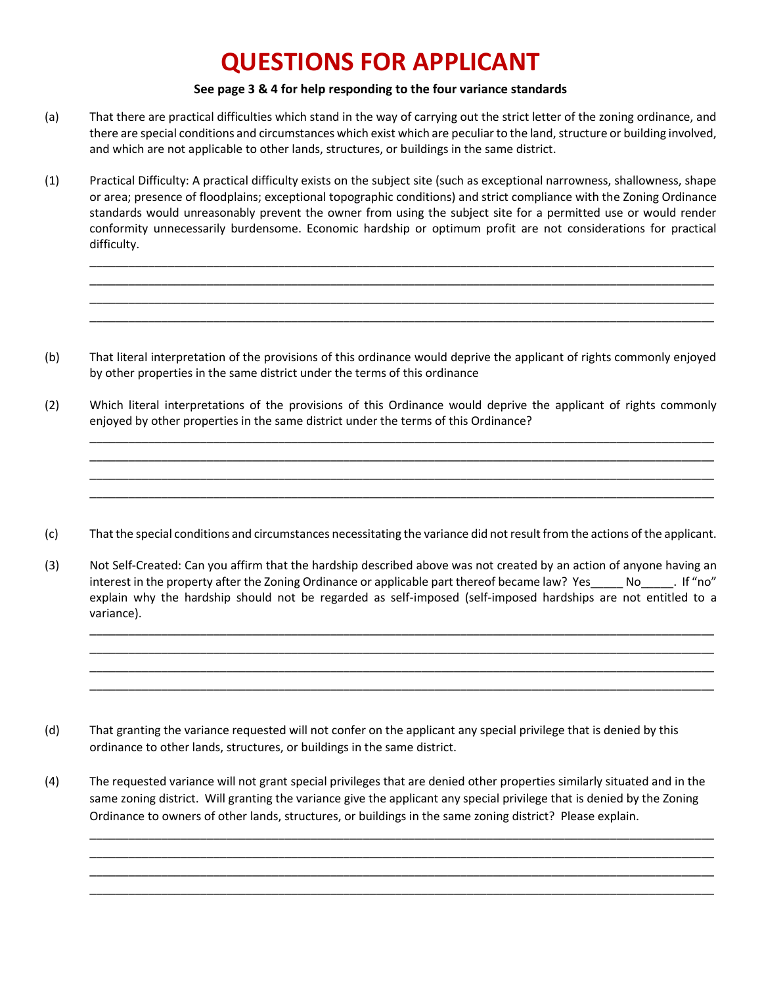## **QUESTIONS FOR APPLICANT**

#### **See page 3 & 4 for help responding to the four variance standards**

- (a) That there are practical difficulties which stand in the way of carrying out the strict letter of the zoning ordinance, and there are special conditions and circumstances which exist which are peculiar to the land, structure or building involved, and which are not applicable to other lands, structures, or buildings in the same district.
- (1) Practical Difficulty: A practical difficulty exists on the subject site (such as exceptional narrowness, shallowness, shape or area; presence of floodplains; exceptional topographic conditions) and strict compliance with the Zoning Ordinance standards would unreasonably prevent the owner from using the subject site for a permitted use or would render conformity unnecessarily burdensome. Economic hardship or optimum profit are not considerations for practical difficulty.

\_\_\_\_\_\_\_\_\_\_\_\_\_\_\_\_\_\_\_\_\_\_\_\_\_\_\_\_\_\_\_\_\_\_\_\_\_\_\_\_\_\_\_\_\_\_\_\_\_\_\_\_\_\_\_\_\_\_\_\_\_\_\_\_\_\_\_\_\_\_\_\_\_\_\_\_\_\_\_\_\_\_\_\_\_\_\_\_\_\_\_\_\_\_\_\_ \_\_\_\_\_\_\_\_\_\_\_\_\_\_\_\_\_\_\_\_\_\_\_\_\_\_\_\_\_\_\_\_\_\_\_\_\_\_\_\_\_\_\_\_\_\_\_\_\_\_\_\_\_\_\_\_\_\_\_\_\_\_\_\_\_\_\_\_\_\_\_\_\_\_\_\_\_\_\_\_\_\_\_\_\_\_\_\_\_\_\_\_\_\_\_\_  $\_$  ,  $\_$  ,  $\_$  ,  $\_$  ,  $\_$  ,  $\_$  ,  $\_$  ,  $\_$  ,  $\_$  ,  $\_$  ,  $\_$  ,  $\_$  ,  $\_$  ,  $\_$  ,  $\_$  ,  $\_$  ,  $\_$  ,  $\_$  ,  $\_$  ,  $\_$  ,  $\_$  ,  $\_$  ,  $\_$  ,  $\_$  ,  $\_$  ,  $\_$  ,  $\_$  ,  $\_$  ,  $\_$  ,  $\_$  ,  $\_$  ,  $\_$  ,  $\_$  ,  $\_$  ,  $\_$  ,  $\_$  ,  $\_$  , \_\_\_\_\_\_\_\_\_\_\_\_\_\_\_\_\_\_\_\_\_\_\_\_\_\_\_\_\_\_\_\_\_\_\_\_\_\_\_\_\_\_\_\_\_\_\_\_\_\_\_\_\_\_\_\_\_\_\_\_\_\_\_\_\_\_\_\_\_\_\_\_\_\_\_\_\_\_\_\_\_\_\_\_\_\_\_\_\_\_\_\_\_\_\_\_

- (b) That literal interpretation of the provisions of this ordinance would deprive the applicant of rights commonly enjoyed by other properties in the same district under the terms of this ordinance
- (2) Which literal interpretations of the provisions of this Ordinance would deprive the applicant of rights commonly enjoyed by other properties in the same district under the terms of this Ordinance?

\_\_\_\_\_\_\_\_\_\_\_\_\_\_\_\_\_\_\_\_\_\_\_\_\_\_\_\_\_\_\_\_\_\_\_\_\_\_\_\_\_\_\_\_\_\_\_\_\_\_\_\_\_\_\_\_\_\_\_\_\_\_\_\_\_\_\_\_\_\_\_\_\_\_\_\_\_\_\_\_\_\_\_\_\_\_\_\_\_\_\_\_\_\_\_\_  $\overline{\phantom{a}}$  , and the contribution of the contribution of the contribution of the contribution of the contribution of the contribution of the contribution of the contribution of the contribution of the contribution of the \_\_\_\_\_\_\_\_\_\_\_\_\_\_\_\_\_\_\_\_\_\_\_\_\_\_\_\_\_\_\_\_\_\_\_\_\_\_\_\_\_\_\_\_\_\_\_\_\_\_\_\_\_\_\_\_\_\_\_\_\_\_\_\_\_\_\_\_\_\_\_\_\_\_\_\_\_\_\_\_\_\_\_\_\_\_\_\_\_\_\_\_\_\_\_\_  $\_$  ,  $\_$  ,  $\_$  ,  $\_$  ,  $\_$  ,  $\_$  ,  $\_$  ,  $\_$  ,  $\_$  ,  $\_$  ,  $\_$  ,  $\_$  ,  $\_$  ,  $\_$  ,  $\_$  ,  $\_$  ,  $\_$  ,  $\_$  ,  $\_$  ,  $\_$  ,  $\_$  ,  $\_$  ,  $\_$  ,  $\_$  ,  $\_$  ,  $\_$  ,  $\_$  ,  $\_$  ,  $\_$  ,  $\_$  ,  $\_$  ,  $\_$  ,  $\_$  ,  $\_$  ,  $\_$  ,  $\_$  ,  $\_$  ,

- (c) That the special conditions and circumstances necessitating the variance did not result from the actions of the applicant.
- (3) Not Self-Created: Can you affirm that the hardship described above was not created by an action of anyone having an interest in the property after the Zoning Ordinance or applicable part thereof became law? Yes \_\_\_\_ No\_\_\_\_\_\_. If "no" explain why the hardship should not be regarded as self-imposed (self-imposed hardships are not entitled to a variance).

\_\_\_\_\_\_\_\_\_\_\_\_\_\_\_\_\_\_\_\_\_\_\_\_\_\_\_\_\_\_\_\_\_\_\_\_\_\_\_\_\_\_\_\_\_\_\_\_\_\_\_\_\_\_\_\_\_\_\_\_\_\_\_\_\_\_\_\_\_\_\_\_\_\_\_\_\_\_\_\_\_\_\_\_\_\_\_\_\_\_\_\_\_\_\_\_ \_\_\_\_\_\_\_\_\_\_\_\_\_\_\_\_\_\_\_\_\_\_\_\_\_\_\_\_\_\_\_\_\_\_\_\_\_\_\_\_\_\_\_\_\_\_\_\_\_\_\_\_\_\_\_\_\_\_\_\_\_\_\_\_\_\_\_\_\_\_\_\_\_\_\_\_\_\_\_\_\_\_\_\_\_\_\_\_\_\_\_\_\_\_\_\_  $\_$  ,  $\_$  ,  $\_$  ,  $\_$  ,  $\_$  ,  $\_$  ,  $\_$  ,  $\_$  ,  $\_$  ,  $\_$  ,  $\_$  ,  $\_$  ,  $\_$  ,  $\_$  ,  $\_$  ,  $\_$  ,  $\_$  ,  $\_$  ,  $\_$  ,  $\_$  ,  $\_$  ,  $\_$  ,  $\_$  ,  $\_$  ,  $\_$  ,  $\_$  ,  $\_$  ,  $\_$  ,  $\_$  ,  $\_$  ,  $\_$  ,  $\_$  ,  $\_$  ,  $\_$  ,  $\_$  ,  $\_$  ,  $\_$  , \_\_\_\_\_\_\_\_\_\_\_\_\_\_\_\_\_\_\_\_\_\_\_\_\_\_\_\_\_\_\_\_\_\_\_\_\_\_\_\_\_\_\_\_\_\_\_\_\_\_\_\_\_\_\_\_\_\_\_\_\_\_\_\_\_\_\_\_\_\_\_\_\_\_\_\_\_\_\_\_\_\_\_\_\_\_\_\_\_\_\_\_\_\_\_\_

- (d) That granting the variance requested will not confer on the applicant any special privilege that is denied by this ordinance to other lands, structures, or buildings in the same district.
- (4) The requested variance will not grant special privileges that are denied other properties similarly situated and in the same zoning district. Will granting the variance give the applicant any special privilege that is denied by the Zoning Ordinance to owners of other lands, structures, or buildings in the same zoning district? Please explain.

 $\_$  ,  $\_$  ,  $\_$  ,  $\_$  ,  $\_$  ,  $\_$  ,  $\_$  ,  $\_$  ,  $\_$  ,  $\_$  ,  $\_$  ,  $\_$  ,  $\_$  ,  $\_$  ,  $\_$  ,  $\_$  ,  $\_$  ,  $\_$  ,  $\_$  ,  $\_$  ,  $\_$  ,  $\_$  ,  $\_$  ,  $\_$  ,  $\_$  ,  $\_$  ,  $\_$  ,  $\_$  ,  $\_$  ,  $\_$  ,  $\_$  ,  $\_$  ,  $\_$  ,  $\_$  ,  $\_$  ,  $\_$  ,  $\_$  , \_\_\_\_\_\_\_\_\_\_\_\_\_\_\_\_\_\_\_\_\_\_\_\_\_\_\_\_\_\_\_\_\_\_\_\_\_\_\_\_\_\_\_\_\_\_\_\_\_\_\_\_\_\_\_\_\_\_\_\_\_\_\_\_\_\_\_\_\_\_\_\_\_\_\_\_\_\_\_\_\_\_\_\_\_\_\_\_\_\_\_\_\_\_\_\_  $\overline{\phantom{a}}$  , and the contribution of the contribution of the contribution of the contribution of the contribution of the contribution of the contribution of the contribution of the contribution of the contribution of the \_\_\_\_\_\_\_\_\_\_\_\_\_\_\_\_\_\_\_\_\_\_\_\_\_\_\_\_\_\_\_\_\_\_\_\_\_\_\_\_\_\_\_\_\_\_\_\_\_\_\_\_\_\_\_\_\_\_\_\_\_\_\_\_\_\_\_\_\_\_\_\_\_\_\_\_\_\_\_\_\_\_\_\_\_\_\_\_\_\_\_\_\_\_\_\_